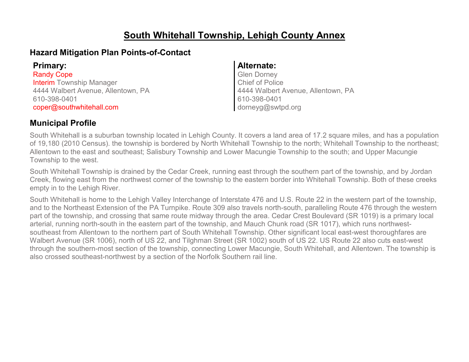### **South Whitehall Township, Lehigh County Annex**

#### **Hazard Mitigation Plan Points-of-Contact**

**Primary: Alternate:** Randy Cope Interim Township Manager 4444 Walbert Avenue, Allentown, PA 610-398-0401 coper@southwhitehall.com

Glen Dorney Chief of Police 4444 Walbert Avenue, Allentown, PA 610-398-0401 dorneyg@swtpd.org

#### **Municipal Profile**

South Whitehall is a suburban township located in Lehigh County. It covers a land area of 17.2 square miles, and has a population of 19,180 (2010 Census). the township is bordered by North Whitehall Township to the north; Whitehall Township to the northeast; Allentown to the east and southeast; Salisbury Township and Lower Macungie Township to the south; and Upper Macungie Township to the west.

South Whitehall Township is drained by the Cedar Creek, running east through the southern part of the township, and by Jordan Creek, flowing east from the northwest corner of the township to the eastern border into Whitehall Township. Both of these creeks empty in to the Lehigh River.

South Whitehall is home to the Lehigh Valley Interchange of Interstate 476 and U.S. Route 22 in the western part of the township, and to the Northeast Extension of the PA Turnpike. Route 309 also travels north-south, paralleling Route 476 through the western part of the township, and crossing that same route midway through the area. Cedar Crest Boulevard (SR 1019) is a primary local arterial, running north-south in the eastern part of the township, and Mauch Chunk road (SR 1017), which runs northwestsoutheast from Allentown to the northern part of South Whitehall Township. Other significant local east-west thoroughfares are Walbert Avenue (SR 1006), north of US 22, and Tilghman Street (SR 1002) south of US 22. US Route 22 also cuts east-west through the southern-most section of the township, connecting Lower Macungie, South Whitehall, and Allentown. The township is also crossed southeast-northwest by a section of the Norfolk Southern rail line.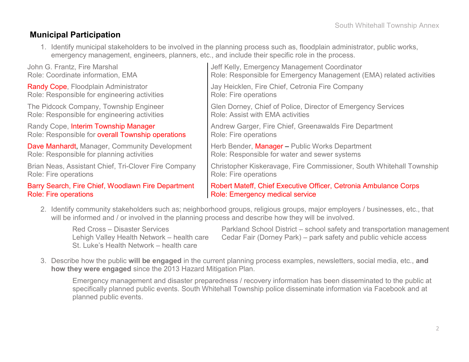#### **Municipal Participation**

1. Identify municipal stakeholders to be involved in the planning process such as, floodplain administrator, public works, emergency management, engineers, planners, etc., and include their specific role in the process.

| John G. Frantz, Fire Marshal                         | Jeff Kelly, Emergency Management Coordinator                         |
|------------------------------------------------------|----------------------------------------------------------------------|
| Role: Coordinate information, EMA                    | Role: Responsible for Emergency Management (EMA) related activities  |
| Randy Cope, Floodplain Administrator                 | Jay Heicklen, Fire Chief, Cetronia Fire Company                      |
| Role: Responsible for engineering activities         | Role: Fire operations                                                |
| The Pidcock Company, Township Engineer               | Glen Dorney, Chief of Police, Director of Emergency Services         |
| Role: Responsible for engineering activities         | Role: Assist with EMA activities                                     |
| Randy Cope, Interim Township Manager                 | Andrew Garger, Fire Chief, Greenawalds Fire Department               |
| Role: Responsible for overall Township operations    | Role: Fire operations                                                |
| Dave Manhardt, Manager, Community Development        | Herb Bender, Manager - Public Works Department                       |
| Role: Responsible for planning activities            | Role: Responsible for water and sewer systems                        |
| Brian Neas, Assistant Chief, Tri-Clover Fire Company | Christopher Kiskeravage, Fire Commissioner, South Whitehall Township |
| Role: Fire operations                                | Role: Fire operations                                                |
| Barry Search, Fire Chief, Woodlawn Fire Department   | Robert Mateff, Chief Executive Officer, Cetronia Ambulance Corps     |
| <b>Role: Fire operations</b>                         | <b>Role: Emergency medical service</b>                               |

2. Identify community stakeholders such as; neighborhood groups, religious groups, major employers / businesses, etc., that will be informed and / or involved in the planning process and describe how they will be involved.

St. Luke's Health Network – health care

Red Cross – Disaster Services Parkland School District – school safety and transportation management Lehigh Valley Health Network – health care Cedar Fair (Dorney Park) – park safety and public vehicle access

3. Describe how the public **will be engaged** in the current planning process examples, newsletters, social media, etc., **and how they were engaged** since the 2013 Hazard Mitigation Plan.

Emergency management and disaster preparedness / recovery information has been disseminated to the public at specifically planned public events. South Whitehall Township police disseminate information via Facebook and at planned public events.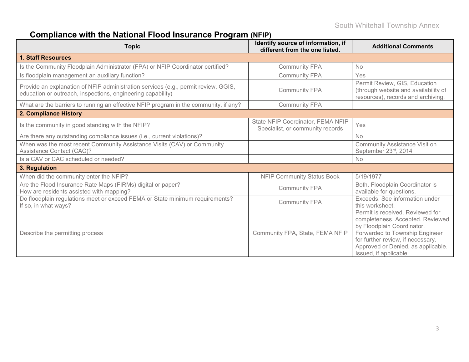# **Compliance with the National Flood Insurance Program (NFIP)**

| <b>Topic</b>                                                                                                                                      | Identify source of information, if<br>different from the one listed.  | <b>Additional Comments</b>                                                                                                                                                                                                                |
|---------------------------------------------------------------------------------------------------------------------------------------------------|-----------------------------------------------------------------------|-------------------------------------------------------------------------------------------------------------------------------------------------------------------------------------------------------------------------------------------|
| 1. Staff Resources                                                                                                                                |                                                                       |                                                                                                                                                                                                                                           |
| Is the Community Floodplain Administrator (FPA) or NFIP Coordinator certified?                                                                    | <b>Community FPA</b>                                                  | <b>No</b>                                                                                                                                                                                                                                 |
| Is floodplain management an auxiliary function?                                                                                                   | <b>Community FPA</b>                                                  | Yes                                                                                                                                                                                                                                       |
| Provide an explanation of NFIP administration services (e.g., permit review, GGIS,<br>education or outreach, inspections, engineering capability) | <b>Community FPA</b>                                                  | Permit Review, GIS, Education<br>(through website and availability of<br>resources), records and archiving.                                                                                                                               |
| What are the barriers to running an effective NFIP program in the community, if any?                                                              | <b>Community FPA</b>                                                  |                                                                                                                                                                                                                                           |
| 2. Compliance History                                                                                                                             |                                                                       |                                                                                                                                                                                                                                           |
| Is the community in good standing with the NFIP?                                                                                                  | State NFIP Coordinator, FEMA NFIP<br>Specialist, or community records | Yes                                                                                                                                                                                                                                       |
| Are there any outstanding compliance issues (i.e., current violations)?                                                                           |                                                                       | <b>No</b>                                                                                                                                                                                                                                 |
| When was the most recent Community Assistance Visits (CAV) or Community<br>Assistance Contact (CAC)?                                              |                                                                       | <b>Community Assistance Visit on</b><br>September 23rd, 2014                                                                                                                                                                              |
| Is a CAV or CAC scheduled or needed?                                                                                                              |                                                                       | <b>No</b>                                                                                                                                                                                                                                 |
| 3. Regulation                                                                                                                                     |                                                                       |                                                                                                                                                                                                                                           |
| When did the community enter the NFIP?                                                                                                            | <b>NFIP Community Status Book</b>                                     | 5/19/1977                                                                                                                                                                                                                                 |
| Are the Flood Insurance Rate Maps (FIRMs) digital or paper?<br>How are residents assisted with mapping?                                           | <b>Community FPA</b>                                                  | Both. Floodplain Coordinator is<br>available for questions.                                                                                                                                                                               |
| Do floodplain regulations meet or exceed FEMA or State minimum requirements?<br>If so, in what ways?                                              | <b>Community FPA</b>                                                  | Exceeds. See information under<br>this worksheet.                                                                                                                                                                                         |
| Describe the permitting process                                                                                                                   | Community FPA, State, FEMA NFIP                                       | Permit is received. Reviewed for<br>completeness. Accepted. Reviewed<br>by Floodplain Coordinator.<br>Forwarded to Township Engineer<br>for further review, if necessary.<br>Approved or Denied, as applicable.<br>Issued, if applicable. |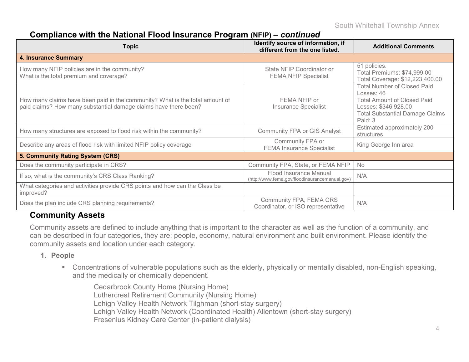#### **Compliance with the National Flood Insurance Program (NFIP) –** *continued*

| Topic                                                                                                                                            | Identify source of information, if<br>different from the one listed.     | <b>Additional Comments</b>                                                                                                                                          |
|--------------------------------------------------------------------------------------------------------------------------------------------------|--------------------------------------------------------------------------|---------------------------------------------------------------------------------------------------------------------------------------------------------------------|
| <b>4. Insurance Summary</b>                                                                                                                      |                                                                          |                                                                                                                                                                     |
| How many NFIP policies are in the community?<br>What is the total premium and coverage?                                                          | State NFIP Coordinator or<br><b>FEMA NFIP Specialist</b>                 | 51 policies.<br>Total Premiums: \$74,999.00<br>Total Coverage: \$12,223,400.00                                                                                      |
| How many claims have been paid in the community? What is the total amount of<br>paid claims? How many substantial damage claims have there been? | FEMA NFIP or<br><b>Insurance Specialist</b>                              | <b>Total Number of Closed Paid</b><br>Losses: 46<br><b>Total Amount of Closed Paid</b><br>Losses: \$346,928.00<br><b>Total Substantial Damage Claims</b><br>Paid: 3 |
| How many structures are exposed to flood risk within the community?                                                                              | <b>Community FPA or GIS Analyst</b>                                      | Estimated approximately 200<br>structures                                                                                                                           |
| Describe any areas of flood risk with limited NFIP policy coverage                                                                               | Community FPA or<br><b>FEMA Insurance Specialist</b>                     | King George Inn area                                                                                                                                                |
| 5. Community Rating System (CRS)                                                                                                                 |                                                                          |                                                                                                                                                                     |
| Does the community participate in CRS?                                                                                                           | Community FPA, State, or FEMA NFIP                                       | No                                                                                                                                                                  |
| If so, what is the community's CRS Class Ranking?                                                                                                | Flood Insurance Manual<br>(http://www.fema.gov/floodinsurancemanual.gov) | N/A                                                                                                                                                                 |
| What categories and activities provide CRS points and how can the Class be<br>improved?                                                          |                                                                          |                                                                                                                                                                     |
| Does the plan include CRS planning requirements?                                                                                                 | Community FPA, FEMA CRS<br>Coordinator, or ISO representative            | N/A                                                                                                                                                                 |

#### **Community Assets**

Community assets are defined to include anything that is important to the character as well as the function of a community, and can be described in four categories, they are; people, economy, natural environment and built environment. Please identify the community assets and location under each category.

#### **1. People**

 Concentrations of vulnerable populations such as the elderly, physically or mentally disabled, non-English speaking, and the medically or chemically dependent.

Cedarbrook County Home (Nursing Home) Luthercrest Retirement Community (Nursing Home) Lehigh Valley Health Network Tilghman (short-stay surgery) Lehigh Valley Health Network (Coordinated Health) Allentown (short-stay surgery) Fresenius Kidney Care Center (in-patient dialysis)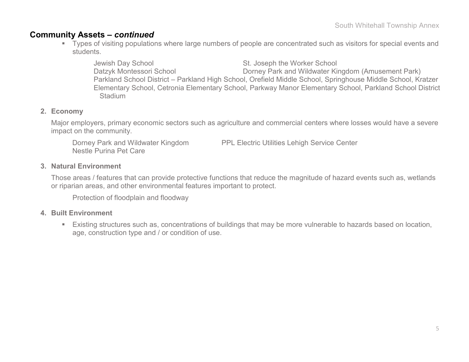#### **Community Assets –** *continued*

 Types of visiting populations where large numbers of people are concentrated such as visitors for special events and students.

Jewish Day School St. Joseph the Worker School Datzyk Montessori School Dorney Park and Wildwater Kingdom (Amusement Park) Parkland School District – Parkland High School, Orefield Middle School, Springhouse Middle School, Kratzer Elementary School, Cetronia Elementary School, Parkway Manor Elementary School, Parkland School District **Stadium** 

#### **2. Economy**

Major employers, primary economic sectors such as agriculture and commercial centers where losses would have a severe impact on the community.

Dorney Park and Wildwater Kingdom PPL Electric Utilities Lehigh Service Center Nestle Purina Pet Care

#### **3. Natural Environment**

Those areas / features that can provide protective functions that reduce the magnitude of hazard events such as, wetlands or riparian areas, and other environmental features important to protect.

Protection of floodplain and floodway

#### **4. Built Environment**

 Existing structures such as, concentrations of buildings that may be more vulnerable to hazards based on location, age, construction type and / or condition of use.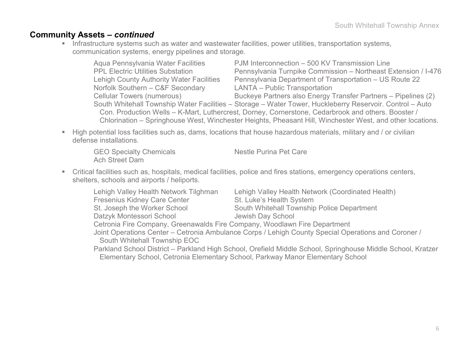#### **Community Assets –** *continued*

**Infrastructure systems such as water and wastewater facilities, power utilities, transportation systems,** communication systems, energy pipelines and storage.

| Aqua Pennsylvania Water Facilities              | PJM Interconnection - 500 KV Transmission Line                                                            |  |  |  |  |  |  |  |  |
|-------------------------------------------------|-----------------------------------------------------------------------------------------------------------|--|--|--|--|--|--|--|--|
| <b>PPL Electric Utilities Substation</b>        | Pennsylvania Turnpike Commission - Northeast Extension / I-476                                            |  |  |  |  |  |  |  |  |
| <b>Lehigh County Authority Water Facilities</b> | Pennsylvania Department of Transportation – US Route 22                                                   |  |  |  |  |  |  |  |  |
| Norfolk Southern - C&F Secondary                | <b>LANTA - Public Transportation</b>                                                                      |  |  |  |  |  |  |  |  |
| <b>Cellular Towers (numerous)</b>               | Buckeye Partners also Energy Transfer Partners - Pipelines (2)                                            |  |  |  |  |  |  |  |  |
|                                                 | South Whitehall Township Water Facilities - Storage - Water Tower, Huckleberry Reservoir. Control - Auto  |  |  |  |  |  |  |  |  |
|                                                 | Con. Production Wells - K-Mart, Luthercrest, Dorney, Cornerstone, Cedarbrook and others. Booster /        |  |  |  |  |  |  |  |  |
|                                                 | Chlorination – Springhouse West, Winchester Heights, Pheasant Hill, Winchester West, and other locations. |  |  |  |  |  |  |  |  |

 High potential loss facilities such as, dams, locations that house hazardous materials, military and / or civilian defense installations.

GEO Specialty Chemicals Nestle Purina Pet Care Ach Street Dam

 Critical facilities such as, hospitals, medical facilities, police and fires stations, emergency operations centers, shelters, schools and airports / heliports.

| Lehigh Valley Health Network Tilghman                                     | Lehigh Valley Health Network (Coordinated Health)                                                           |  |  |  |  |  |  |  |
|---------------------------------------------------------------------------|-------------------------------------------------------------------------------------------------------------|--|--|--|--|--|--|--|
| <b>Fresenius Kidney Care Center</b>                                       | St. Luke's Health System                                                                                    |  |  |  |  |  |  |  |
| St. Joseph the Worker School                                              | South Whitehall Township Police Department                                                                  |  |  |  |  |  |  |  |
| Datzyk Montessori School                                                  | Jewish Day School                                                                                           |  |  |  |  |  |  |  |
| Cetronia Fire Company, Greenawalds Fire Company, Woodlawn Fire Department |                                                                                                             |  |  |  |  |  |  |  |
|                                                                           | Joint Operations Center – Cetronia Ambulance Corps / Lehigh County Special Operations and Coroner /         |  |  |  |  |  |  |  |
| South Whitehall Township EOC                                              |                                                                                                             |  |  |  |  |  |  |  |
|                                                                           | Parkland School District - Parkland High School, Orefield Middle School, Springhouse Middle School, Kratzer |  |  |  |  |  |  |  |
|                                                                           | Elementary School, Cetronia Elementary School, Parkway Manor Elementary School                              |  |  |  |  |  |  |  |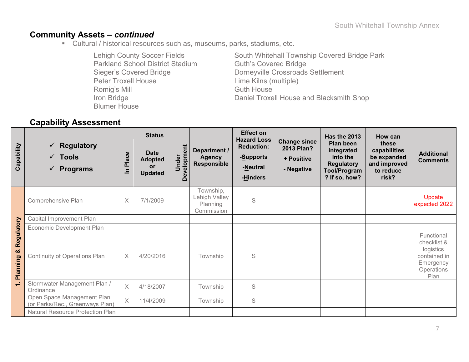### **Community Assets –** *continued*

Cultural / historical resources such as, museums, parks, stadiums, etc.

| <b>Lehigh County Soccer Fields</b>      | South Whitehall Township Covered Bridge Park |
|-----------------------------------------|----------------------------------------------|
| <b>Parkland School District Stadium</b> | <b>Guth's Covered Bridge</b>                 |
| <b>Sieger's Covered Bridge</b>          | Dorneyville Crossroads Settlement            |
| <b>Peter Troxell House</b>              | Lime Kilns (multiple)                        |
| Romig's Mill                            | <b>Guth House</b>                            |
| Iron Bridge                             | Daniel Troxell House and Blacksmith Shop     |
| <b>Blumer House</b>                     |                                              |

### **Capability Assessment**

|                             |                                                                         | <b>Status</b>     |                                                       |                      | <b>Effect on</b>                                     |                                                                              | Has the 2013                                                  | How can                                                                                          |                                                                            |                                                                                           |
|-----------------------------|-------------------------------------------------------------------------|-------------------|-------------------------------------------------------|----------------------|------------------------------------------------------|------------------------------------------------------------------------------|---------------------------------------------------------------|--------------------------------------------------------------------------------------------------|----------------------------------------------------------------------------|-------------------------------------------------------------------------------------------|
| Capability                  | <b>Regulatory</b><br>✓<br>Tools<br>$\checkmark$<br><b>Programs</b><br>✓ | Place<br>$\equiv$ | <b>Date</b><br><b>Adopted</b><br>or<br><b>Updated</b> | Development<br>Under | Department /<br><b>Agency</b><br><b>Responsible</b>  | <b>Hazard Loss</b><br><b>Reduction:</b><br>-Supports<br>-Neutral<br>-Hinders | <b>Change since</b><br>2013 Plan?<br>+ Positive<br>- Negative | Plan been<br>integrated<br>into the<br><b>Regulatory</b><br><b>Tool/Program</b><br>? If so, how? | these<br>capabilities<br>be expanded<br>and improved<br>to reduce<br>risk? | <b>Additional</b><br><b>Comments</b>                                                      |
|                             | Comprehensive Plan                                                      | $\times$          | 7/1/2009                                              |                      | Township,<br>Lehigh Valley<br>Planning<br>Commission | S                                                                            |                                                               |                                                                                                  |                                                                            | Update<br>expected 2022                                                                   |
|                             | Capital Improvement Plan                                                |                   |                                                       |                      |                                                      |                                                                              |                                                               |                                                                                                  |                                                                            |                                                                                           |
|                             | Economic Development Plan                                               |                   |                                                       |                      |                                                      |                                                                              |                                                               |                                                                                                  |                                                                            |                                                                                           |
| Regulatory<br>ಯ<br>Planning | <b>Continuity of Operations Plan</b>                                    | $\times$          | 4/20/2016                                             |                      | Township                                             | S                                                                            |                                                               |                                                                                                  |                                                                            | Functional<br>checklist &<br>logistics<br>contained in<br>Emergency<br>Operations<br>Plan |
| ÷                           | Stormwater Management Plan /<br>Ordinance                               | $\times$          | 4/18/2007                                             |                      | Township                                             | $\mathsf S$                                                                  |                                                               |                                                                                                  |                                                                            |                                                                                           |
|                             | Open Space Management Plan<br>(or Parks/Rec., Greenways Plan)           | $\times$          | 11/4/2009                                             |                      | Township                                             | S                                                                            |                                                               |                                                                                                  |                                                                            |                                                                                           |
|                             | Natural Resource Protection Plan                                        |                   |                                                       |                      |                                                      |                                                                              |                                                               |                                                                                                  |                                                                            |                                                                                           |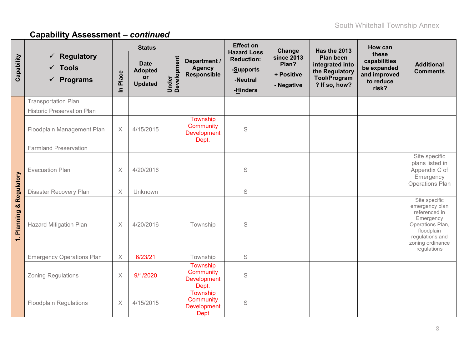|                          |                                                            |                       | <b>Status</b>                                         |                      |                                                            | <b>Effect on</b>                                                             | Change                                                 | <b>Has the 2013</b>                                                                           | How can                                                                    |                                                                                                                                                       |
|--------------------------|------------------------------------------------------------|-----------------------|-------------------------------------------------------|----------------------|------------------------------------------------------------|------------------------------------------------------------------------------|--------------------------------------------------------|-----------------------------------------------------------------------------------------------|----------------------------------------------------------------------------|-------------------------------------------------------------------------------------------------------------------------------------------------------|
| Capability               | Regulatory<br>✓<br>$\times$ Tools<br>$\checkmark$ Programs | In Place              | <b>Date</b><br><b>Adopted</b><br>or<br><b>Updated</b> | Under<br>Development | Department /<br><b>Agency</b><br><b>Responsible</b>        | <b>Hazard Loss</b><br><b>Reduction:</b><br>-Supports<br>-Neutral<br>-Hinders | <b>since 2013</b><br>Plan?<br>+ Positive<br>- Negative | <b>Plan been</b><br>integrated into<br>the Regulatory<br><b>Tool/Program</b><br>? If so, how? | these<br>capabilities<br>be expanded<br>and improved<br>to reduce<br>risk? | <b>Additional</b><br><b>Comments</b>                                                                                                                  |
|                          | <b>Transportation Plan</b>                                 |                       |                                                       |                      |                                                            |                                                                              |                                                        |                                                                                               |                                                                            |                                                                                                                                                       |
|                          | <b>Historic Preservation Plan</b>                          |                       |                                                       |                      |                                                            |                                                                              |                                                        |                                                                                               |                                                                            |                                                                                                                                                       |
|                          | Floodplain Management Plan                                 | $\boldsymbol{\times}$ | 4/15/2015                                             |                      | Township<br>Community<br><b>Development</b><br>Dept.       | $\mathbb S$                                                                  |                                                        |                                                                                               |                                                                            |                                                                                                                                                       |
|                          | <b>Farmland Preservation</b>                               |                       |                                                       |                      |                                                            |                                                                              |                                                        |                                                                                               |                                                                            |                                                                                                                                                       |
|                          | <b>Evacuation Plan</b>                                     | $\times$              | 4/20/2016                                             |                      |                                                            | $\mathsf S$                                                                  |                                                        |                                                                                               |                                                                            | Site specific<br>plans listed in<br>Appendix C of<br>Emergency<br>Operations Plan                                                                     |
|                          | Disaster Recovery Plan                                     | $\chi$                | Unknown                                               |                      |                                                            | S                                                                            |                                                        |                                                                                               |                                                                            |                                                                                                                                                       |
| 1. Planning & Regulatory | <b>Hazard Mitigation Plan</b>                              | $\times$              | 4/20/2016                                             |                      | Township                                                   | S                                                                            |                                                        |                                                                                               |                                                                            | Site specific<br>emergency plan<br>referenced in<br>Emergency<br>Operations Plan,<br>floodplain<br>regulations and<br>zoning ordinance<br>regulations |
|                          | <b>Emergency Operations Plan</b>                           | $\times$              | 6/23/21                                               |                      | Township                                                   | S                                                                            |                                                        |                                                                                               |                                                                            |                                                                                                                                                       |
|                          | <b>Zoning Regulations</b>                                  | $\times$              | 9/1/2020                                              |                      | Township<br>Community<br><b>Development</b><br>Dept.       | S                                                                            |                                                        |                                                                                               |                                                                            |                                                                                                                                                       |
|                          | <b>Floodplain Regulations</b>                              | $\times$              | 4/15/2015                                             |                      | Township<br>Community<br><b>Development</b><br><b>Dept</b> | S                                                                            |                                                        |                                                                                               |                                                                            |                                                                                                                                                       |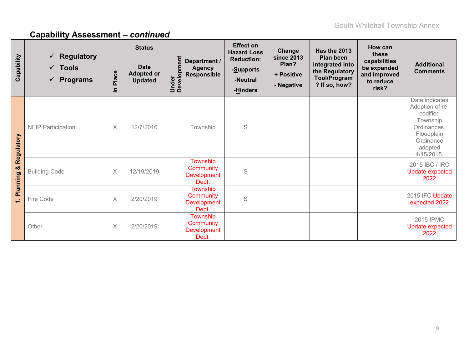|               |                                                                        | <b>Status</b> |                                                    |                   |                                                      | <b>Effect on</b>                                                             | Change                                                 |                                                                                                               | How can                                                                    |                                                                                                                              |
|---------------|------------------------------------------------------------------------|---------------|----------------------------------------------------|-------------------|------------------------------------------------------|------------------------------------------------------------------------------|--------------------------------------------------------|---------------------------------------------------------------------------------------------------------------|----------------------------------------------------------------------------|------------------------------------------------------------------------------------------------------------------------------|
| Capability    | $\checkmark$ Regulatory<br>$\checkmark$ Tools<br>$\checkmark$ Programs | Place<br>르    | <b>Date</b><br><b>Adopted or</b><br><b>Updated</b> | Under<br>Developr | Department /<br><b>Agency</b><br>Responsible         | <b>Hazard Loss</b><br><b>Reduction:</b><br>-Supports<br>-Neutral<br>-Hinders | <b>since 2013</b><br>Plan?<br>+ Positive<br>- Negative | <b>Has the 2013</b><br>Plan been<br>integrated into<br>the Regulatory<br><b>Tool/Program</b><br>? If so, how? | these<br>capabilities<br>be expanded<br>and improved<br>to reduce<br>risk? | <b>Additional</b><br><b>Comments</b>                                                                                         |
| Regulatory    | <b>NFIP Participation</b>                                              | $\times$      | 12/7/2016                                          |                   | Township                                             | S                                                                            |                                                        |                                                                                                               |                                                                            | Date indicates<br>Adoption of re-<br>codified<br>Township<br>Ordinances.<br>Floodplain<br>Ordinance<br>adopted<br>4/15/2015. |
| ×<br>Planning | <b>Building Code</b>                                                   | $\times$      | 12/19/2019                                         |                   | Township<br>Community<br><b>Development</b><br>Dept. | S                                                                            |                                                        |                                                                                                               |                                                                            | 2015 IBC / IRC<br>Update expected<br>2022                                                                                    |
| €             | Fire Code                                                              | $\times$      | 2/20/2019                                          |                   | Township<br>Community<br><b>Development</b><br>Dept. | S                                                                            |                                                        |                                                                                                               |                                                                            | 2015 IFC Update<br>expected 2022                                                                                             |
|               | Other                                                                  | $\times$      | 2/20/2019                                          |                   | Township<br>Community<br><b>Development</b><br>Dept. |                                                                              |                                                        |                                                                                                               |                                                                            | 2015 IPMC<br><b>Update expected</b><br>2022                                                                                  |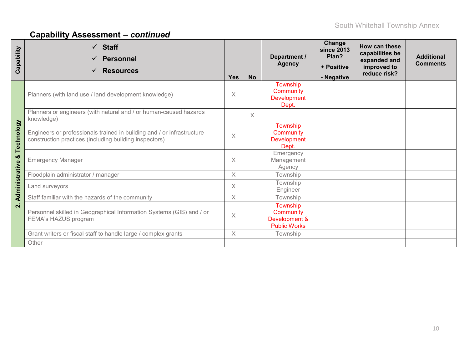| Capability         | $\checkmark$ Staff<br><b>Personnel</b><br><b>Resources</b>                                                                       | <b>Yes</b> | <b>No</b> | Department /<br><b>Agency</b>                                 | Change<br><b>since 2013</b><br>Plan?<br>+ Positive<br>- Negative | How can these<br>capabilities be<br>expanded and<br>improved to<br>reduce risk? | <b>Additional</b><br><b>Comments</b> |
|--------------------|----------------------------------------------------------------------------------------------------------------------------------|------------|-----------|---------------------------------------------------------------|------------------------------------------------------------------|---------------------------------------------------------------------------------|--------------------------------------|
|                    | Planners (with land use / land development knowledge)                                                                            | X          |           | Township<br>Community<br><b>Development</b><br>Dept.          |                                                                  |                                                                                 |                                      |
|                    | Planners or engineers (with natural and / or human-caused hazards<br>knowledge)                                                  |            | X         |                                                               |                                                                  |                                                                                 |                                      |
| Technology         | Engineers or professionals trained in building and / or infrastructure<br>construction practices (including building inspectors) | $\times$   |           | Township<br>Community<br><b>Development</b><br>Dept.          |                                                                  |                                                                                 |                                      |
| ಯ                  | <b>Emergency Manager</b>                                                                                                         | X          |           | Emergency<br>Management<br>Agency                             |                                                                  |                                                                                 |                                      |
|                    | Floodplain administrator / manager                                                                                               | $\times$   |           | Township                                                      |                                                                  |                                                                                 |                                      |
| Administrative     | Land surveyors                                                                                                                   | $\times$   |           | Township<br>Engineer                                          |                                                                  |                                                                                 |                                      |
|                    | Staff familiar with the hazards of the community                                                                                 | $\times$   |           | Township                                                      |                                                                  |                                                                                 |                                      |
| $\dot{\mathbf{a}}$ | Personnel skilled in Geographical Information Systems (GIS) and / or<br>FEMA's HAZUS program                                     | $\times$   |           | Township<br>Community<br>Development &<br><b>Public Works</b> |                                                                  |                                                                                 |                                      |
|                    | Grant writers or fiscal staff to handle large / complex grants                                                                   | $\times$   |           | Township                                                      |                                                                  |                                                                                 |                                      |
|                    | Other                                                                                                                            |            |           |                                                               |                                                                  |                                                                                 |                                      |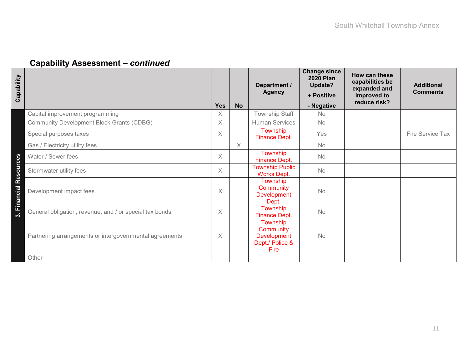| Capability                                                        | <b>Yes</b> | <b>No</b> | Department /<br><b>Agency</b>                                          | <b>Change since</b><br><b>2020 Plan</b><br>Update?<br>+ Positive<br>- Negative | How can these<br>capabilities be<br>expanded and<br>improved to<br>reduce risk? | <b>Additional</b><br><b>Comments</b> |
|-------------------------------------------------------------------|------------|-----------|------------------------------------------------------------------------|--------------------------------------------------------------------------------|---------------------------------------------------------------------------------|--------------------------------------|
| Capital improvement programming                                   | X          |           | Township Staff                                                         | <b>No</b>                                                                      |                                                                                 |                                      |
| <b>Community Development Block Grants (CDBG)</b>                  | $\times$   |           | <b>Human Services</b>                                                  | No                                                                             |                                                                                 |                                      |
| Special purposes taxes                                            | $\times$   |           | Township<br>Finance Dept.                                              | Yes                                                                            |                                                                                 | Fire Service Tax                     |
| Gas / Electricity utility fees                                    |            | X         |                                                                        | <b>No</b>                                                                      |                                                                                 |                                      |
| Water / Sewer fees<br>ources                                      | $\times$   |           | Township<br>Finance Dept.                                              | <b>No</b>                                                                      |                                                                                 |                                      |
| Stormwater utility fees                                           | $\times$   |           | <b>Township Public</b><br><b>Works Dept.</b>                           | No                                                                             |                                                                                 |                                      |
| <b>Res</b><br>Financial<br>Development impact fees                | X          |           | Township<br>Community<br><b>Development</b><br>Dept.                   | <b>No</b>                                                                      |                                                                                 |                                      |
| General obligation, revenue, and / or special tax bonds<br>ო.<br> | $\times$   |           | Township<br>Finance Dept.                                              | No                                                                             |                                                                                 |                                      |
| Partnering arrangements or intergovernmental agreements           | X          |           | Township<br>Community<br><b>Development</b><br>Dept./ Police &<br>Fire | No                                                                             |                                                                                 |                                      |
| Other                                                             |            |           |                                                                        |                                                                                |                                                                                 |                                      |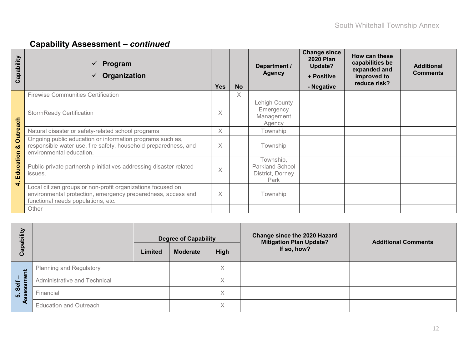| Capability                                   | Program<br>✓<br>Organization                                                                                                                                      | <b>Yes</b> | <b>No</b> | Department /<br><b>Agency</b>                            | <b>Change since</b><br><b>2020 Plan</b><br>Update?<br>+ Positive<br>- Negative | How can these<br>capabilities be<br>expanded and<br>improved to<br>reduce risk? | <b>Additional</b><br><b>Comments</b> |
|----------------------------------------------|-------------------------------------------------------------------------------------------------------------------------------------------------------------------|------------|-----------|----------------------------------------------------------|--------------------------------------------------------------------------------|---------------------------------------------------------------------------------|--------------------------------------|
|                                              | <b>Firewise Communities Certification</b>                                                                                                                         |            | X         |                                                          |                                                                                |                                                                                 |                                      |
| ach                                          | <b>StormReady Certification</b>                                                                                                                                   | Χ          |           | Lehigh County<br>Emergency<br>Management<br>Agency       |                                                                                |                                                                                 |                                      |
|                                              | Natural disaster or safety-related school programs                                                                                                                | $\times$   |           | Township                                                 |                                                                                |                                                                                 |                                      |
| <b>Outre</b><br>න්<br>Education<br>$\vec{r}$ | Ongoing public education or information programs such as,<br>responsible water use, fire safety, household preparedness, and<br>environmental education.          | $\times$   |           | Township                                                 |                                                                                |                                                                                 |                                      |
|                                              | Public-private partnership initiatives addressing disaster related<br>issues.                                                                                     | X          |           | Township,<br>Parkland School<br>District, Dorney<br>Park |                                                                                |                                                                                 |                                      |
|                                              | Local citizen groups or non-profit organizations focused on<br>environmental protection, emergency preparedness, access and<br>functional needs populations, etc. | $\times$   |           | Township                                                 |                                                                                |                                                                                 |                                      |
|                                              | Other                                                                                                                                                             |            |           |                                                          |                                                                                |                                                                                 |                                      |

| 高<br>ၕ             |                               |         | <b>Degree of Capability</b> |             | Change since the 2020 Hazard<br><b>Mitigation Plan Update?</b><br>If so, how? | <b>Additional Comments</b> |
|--------------------|-------------------------------|---------|-----------------------------|-------------|-------------------------------------------------------------------------------|----------------------------|
| ပ                  |                               | Limited | <b>Moderate</b>             | <b>High</b> |                                                                               |                            |
|                    | Planning and Regulatory       |         |                             | X           |                                                                               |                            |
| hent<br>Self       | Administrative and Technical  |         |                             | X           |                                                                               |                            |
| $\dot{\mathbf{p}}$ | Financial                     |         |                             | X           |                                                                               |                            |
|                    | <b>Education and Outreach</b> |         |                             | X           |                                                                               |                            |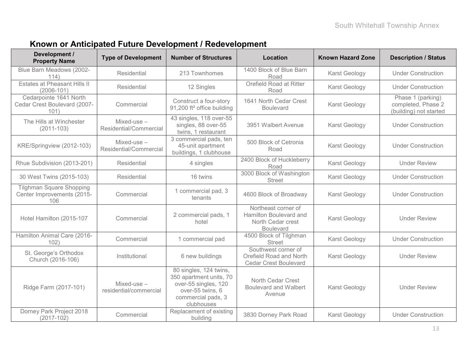### **Known or Anticipated Future Development / Redevelopment**

| Development /<br><b>Property Name</b>                                | <b>Type of Development</b>           | <b>Number of Structures</b>                                                                                                       | <b>Location</b>                                                                        | <b>Known Hazard Zone</b> | <b>Description / Status</b>                                       |  |
|----------------------------------------------------------------------|--------------------------------------|-----------------------------------------------------------------------------------------------------------------------------------|----------------------------------------------------------------------------------------|--------------------------|-------------------------------------------------------------------|--|
| Blue Barn Meadows (2002-<br>114)                                     | Residential                          | 213 Townhomes                                                                                                                     | 1400 Block of Blue Barn<br>Road                                                        | Karst Geology            | <b>Under Construction</b>                                         |  |
| Estates at Pheasant Hills II<br>$(2006 - 101)$                       | Residential                          | 12 Singles                                                                                                                        | Orefield Road at Ritter<br>Road                                                        | Karst Geology            | <b>Under Construction</b>                                         |  |
| Cedarpointe 1641 North<br>Cedar Crest Boulevard (2007-<br>101)       | Commercial                           | Construct a four-story<br>91,200 ft <sup>2</sup> office building                                                                  | 1641 North Cedar Crest<br><b>Boulevard</b>                                             | Karst Geology            | Phase 1 (parking)<br>completed, Phase 2<br>(building) not started |  |
| The Hills at Winchester<br>$(2011 - 103)$                            | Mixed-use-<br>Residential/Commercial | 43 singles, 118 over-55<br>singles, 88 over-55<br>twins, 1 restaurant                                                             | 3951 Walbert Avenue                                                                    | Karst Geology            | <b>Under Construction</b>                                         |  |
| KRE/Springview (2012-103)                                            | Mixed-use-<br>Residential/Commercial | 3 commercial pads, ten<br>45-unit apartment<br>buildings, 1 clubhouse                                                             | 500 Block of Cetronia<br>Road                                                          | Karst Geology            | <b>Under Construction</b>                                         |  |
| Rhue Subdivision (2013-201)                                          | Residential                          | 4 singles                                                                                                                         | 2400 Block of Huckleberry<br>Road                                                      | Karst Geology            | <b>Under Review</b>                                               |  |
| 30 West Twins (2015-103)                                             | Residential                          | 16 twins                                                                                                                          | 3000 Block of Washington<br><b>Street</b>                                              | Karst Geology            | <b>Under Construction</b>                                         |  |
| <b>Tilghman Square Shopping</b><br>Center Improvements (2015-<br>106 | Commercial                           | 1 commercial pad, 3<br>tenants                                                                                                    | 4600 Block of Broadway                                                                 | Karst Geology            | <b>Under Construction</b>                                         |  |
| Hotel Hamilton (2015-107                                             | Commercial                           | 2 commercial pads, 1<br>hotel                                                                                                     | Northeast corner of<br>Hamilton Boulevard and<br>North Cedar crest<br><b>Boulevard</b> | Karst Geology            | <b>Under Review</b>                                               |  |
| Hamilton Animal Care (2016-<br>102)                                  | Commercial                           | 1 commercial pad                                                                                                                  | 4500 Block of Tilghman<br><b>Street</b>                                                | Karst Geology            | <b>Under Construction</b>                                         |  |
| St. George's Orthodox<br>Church (2016-106)                           | Institutional                        | 6 new buildings                                                                                                                   | Southwest corner of<br>Orefield Road and North<br><b>Cedar Crest Boulevard</b>         | Karst Geology            | <b>Under Review</b>                                               |  |
| Ridge Farm (2017-101)                                                | Mixed-use-<br>residential/commercial | 80 singles, 124 twins,<br>350 apartment units, 70<br>over-55 singles, 120<br>over-55 twins, 6<br>commercial pads, 3<br>clubhouses | North Cedar Crest<br><b>Boulevard and Walbert</b><br>Avenue                            | Karst Geology            | <b>Under Review</b>                                               |  |
| Dorney Park Project 2018<br>$(2017 - 102)$                           | Commercial                           | Replacement of existing<br>building                                                                                               | 3830 Dorney Park Road                                                                  | Karst Geology            | <b>Under Construction</b>                                         |  |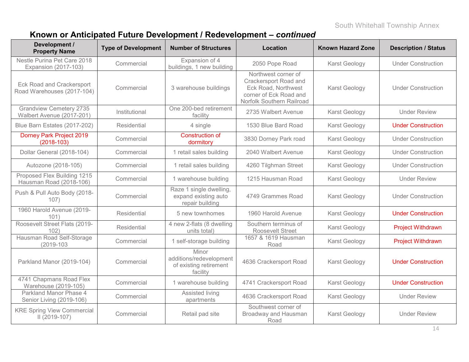# **Known or Anticipated Future Development / Redevelopment –** *continued*

| Development /<br><b>Property Name</b>                       | <b>Type of Development</b> | <b>Number of Structures</b>                                            | Location                                                                                                                   | <b>Known Hazard Zone</b> | <b>Description / Status</b> |
|-------------------------------------------------------------|----------------------------|------------------------------------------------------------------------|----------------------------------------------------------------------------------------------------------------------------|--------------------------|-----------------------------|
| Nestle Purina Pet Care 2018<br>Expansion (2017-103)         | Commercial                 | Expansion of 4<br>buildings, 1 new building                            | 2050 Pope Road                                                                                                             | Karst Geology            | <b>Under Construction</b>   |
| Eck Road and Crackersport<br>Road Warehouses (2017-104)     | Commercial                 | 3 warehouse buildings                                                  | Northwest corner of<br>Crackersport Road and<br>Eck Road, Northwest<br>corner of Eck Road and<br>Norfolk Southern Railroad | Karst Geology            | <b>Under Construction</b>   |
| <b>Grandview Cemetery 2735</b><br>Walbert Avenue (2017-201) | Institutional              | One 200-bed retirement<br>facility                                     | 2735 Walbert Avenue                                                                                                        | Karst Geology            | <b>Under Review</b>         |
| Blue Barn Estates (2017-202)                                | Residential                | 4 single                                                               | 1530 Blue Bard Road                                                                                                        | Karst Geology            | <b>Under Construction</b>   |
| Dorney Park Project 2019<br>$(2018-103)$                    | Commercial                 | <b>Construction of</b><br>dormitory                                    | 3830 Dorney Park road                                                                                                      | Karst Geology            | <b>Under Construction</b>   |
| Dollar General (2018-104)                                   | Commercial                 | 1 retail sales building                                                | 2040 Walbert Avenue                                                                                                        | Karst Geology            | <b>Under Construction</b>   |
| Autozone (2018-105)                                         | Commercial                 | 1 retail sales building                                                | 4260 Tilghman Street                                                                                                       | Karst Geology            | <b>Under Construction</b>   |
| Proposed Flex Building 1215<br>Hausman Road (2018-106)      | Commercial                 | 1 warehouse building                                                   | 1215 Hausman Road                                                                                                          | Karst Geology            | <b>Under Review</b>         |
| Push & Pull Auto Body (2018-<br>107)                        | Commercial                 | Raze 1 single dwelling,<br>expand existing auto<br>repair building     | 4749 Grammes Road                                                                                                          | Karst Geology            | <b>Under Construction</b>   |
| 1960 Harold Avenue (2019-<br>101)                           | Residential                | 5 new townhomes                                                        | 1960 Harold Avenue                                                                                                         | Karst Geology            | <b>Under Construction</b>   |
| Roosevelt Street Flats (2019-<br>102)                       | Residential                | 4 new 2-flats (8 dwelling<br>units total)                              | Southern terminus of<br><b>Roosevelt Street</b>                                                                            | Karst Geology            | <b>Project Withdrawn</b>    |
| Hausman Road Self-Storage<br>$(2019 - 103)$                 | Commercial                 | 1 self-storage building                                                | 1657 & 1619 Hausman<br>Road                                                                                                | Karst Geology            | <b>Project Withdrawn</b>    |
| Parkland Manor (2019-104)                                   | Commercial                 | Minor<br>additions/redevelopment<br>of existing retirement<br>facility | 4636 Crackersport Road                                                                                                     | Karst Geology            | <b>Under Construction</b>   |
| 4741 Chapmans Road Flex<br>Warehouse (2019-105)             | Commercial                 | 1 warehouse building                                                   | 4741 Crackersport Road                                                                                                     | Karst Geology            | <b>Under Construction</b>   |
| Parkland Manor Phase 4<br>Senior Living (2019-106)          | Commercial                 | Assisted living<br>apartments                                          | 4636 Crackersport Road                                                                                                     | Karst Geology            | <b>Under Review</b>         |
| <b>KRE Spring View Commercial</b><br>$II (2019-107)$        | Commercial                 | Retail pad site                                                        | Southwest corner of<br><b>Broadway and Hausman</b><br>Road                                                                 | Karst Geology            | <b>Under Review</b>         |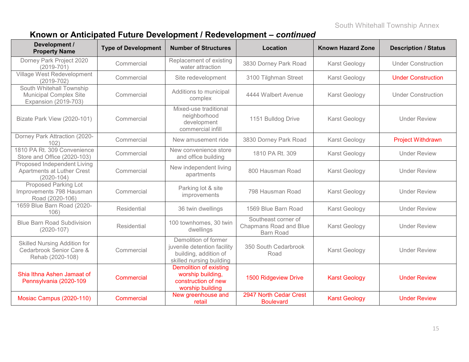### **Known or Anticipated Future Development / Redevelopment –** *continued*

| Development /<br><b>Property Name</b>                                                    | <b>Type of Development</b>       | <b>Number of Structures</b>                                                                              | Location                                                                 | <b>Known Hazard Zone</b> | <b>Description / Status</b> |  |
|------------------------------------------------------------------------------------------|----------------------------------|----------------------------------------------------------------------------------------------------------|--------------------------------------------------------------------------|--------------------------|-----------------------------|--|
| Dorney Park Project 2020<br>$(2019 - 701)$                                               | Commercial                       | Replacement of existing<br>water attraction                                                              | 3830 Dorney Park Road                                                    | Karst Geology            | <b>Under Construction</b>   |  |
| Village West Redevelopment<br>$(2019 - 702)$                                             | Commercial<br>Site redevelopment |                                                                                                          | 3100 Tilghman Street                                                     | Karst Geology            | <b>Under Construction</b>   |  |
| South Whitehall Township<br><b>Municipal Complex Site</b><br><b>Expansion (2019-703)</b> | Commercial                       | Additions to municipal<br>complex                                                                        | 4444 Walbert Avenue                                                      | Karst Geology            | <b>Under Construction</b>   |  |
| Bizate Park View (2020-101)                                                              | Commercial                       | Mixed-use traditional<br>neighborhood<br>development<br>commercial infill                                | 1151 Bulldog Drive                                                       | Karst Geology            | <b>Under Review</b>         |  |
| Dorney Park Attraction (2020-<br>102)                                                    | Commercial                       | New amusement ride                                                                                       | 3830 Dorney Park Road                                                    | Karst Geology            | <b>Project Withdrawn</b>    |  |
| 1810 PA Rt. 309 Convenience<br>Store and Office (2020-103)                               | Commercial                       | New convenience store<br>and office building                                                             | 1810 PA Rt. 309                                                          | Karst Geology            | <b>Under Review</b>         |  |
| Proposed Independent Living<br>Apartments at Luther Crest<br>$(2020 - 104)$              | Commercial                       | New independent living<br>apartments                                                                     | 800 Hausman Road                                                         | Karst Geology            | <b>Under Review</b>         |  |
| <b>Proposed Parking Lot</b><br>Improvements 798 Hausman<br>Road (2020-106)               | Commercial                       | Parking lot & site<br>improvements                                                                       | 798 Hausman Road                                                         | Karst Geology            | <b>Under Review</b>         |  |
| 1659 Blue Barn Road (2020-<br>106)                                                       | <b>Residential</b>               | 36 twin dwellings                                                                                        | 1569 Blue Barn Road                                                      | Karst Geology            | <b>Under Review</b>         |  |
| <b>Blue Barn Road Subdivision</b><br>$(2020 - 107)$                                      | <b>Residential</b>               | 100 townhomes, 30 twin<br>dwellings                                                                      | Southeast corner of<br><b>Chapmans Road and Blue</b><br><b>Barn Road</b> | Karst Geology            | <b>Under Review</b>         |  |
| <b>Skilled Nursing Addition for</b><br>Cedarbrook Senior Care &<br>Rehab (2020-108)      | Commercial                       | Demolition of former<br>juvenile detention facility<br>building, addition of<br>skilled nursing building | 350 South Cedarbrook<br>Road                                             | Karst Geology            | <b>Under Review</b>         |  |
| Shia Ithna Ashen Jamaat of<br>Pennsylvania (2020-109                                     | Commercial                       | <b>Demolition of existing</b><br>worship building,<br>construction of new<br>worship building            | <b>1500 Ridgeview Drive</b>                                              | <b>Karst Geology</b>     | <b>Under Review</b>         |  |
| Mosiac Campus (2020-110)                                                                 | Commercial                       | New greenhouse and<br>retail                                                                             | 2947 North Cedar Crest<br><b>Boulevard</b>                               | <b>Karst Geology</b>     | <b>Under Review</b>         |  |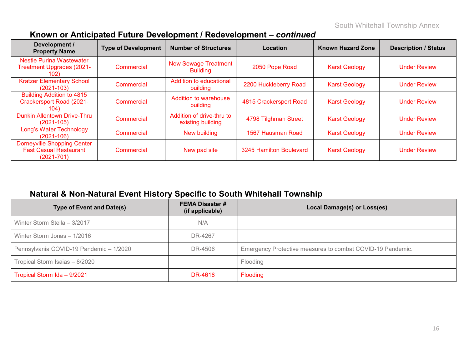| Development /<br><b>Property Name</b>                                                 | <b>Type of Development</b> | <b>Number of Structures</b>                    | Location                | <b>Known Hazard Zone</b> | <b>Description / Status</b> |
|---------------------------------------------------------------------------------------|----------------------------|------------------------------------------------|-------------------------|--------------------------|-----------------------------|
| <b>Nestle Purina Wastewater</b><br><b>Treatment Upgrades (2021-</b><br>102)           | Commercial                 | <b>New Sewage Treatment</b><br><b>Building</b> | 2050 Pope Road          | <b>Karst Geology</b>     | <b>Under Review</b>         |
| <b>Kratzer Elementary School</b><br>$(2021 - 103)$                                    | Commercial                 | Addition to educational<br>building            | 2200 Huckleberry Road   | <b>Karst Geology</b>     | <b>Under Review</b>         |
| <b>Building Addition to 4815</b><br><b>Crackersport Road (2021-</b><br>104)           | Commercial                 | Addition to warehouse<br>building              | 4815 Crackersport Road  | <b>Karst Geology</b>     | <b>Under Review</b>         |
| <b>Dunkin Allentown Drive-Thru</b><br>$(2021 - 105)$                                  | Commercial                 | Addition of drive-thru to<br>existing building | 4798 Tilghman Street    | <b>Karst Geology</b>     | <b>Under Review</b>         |
| Long's Water Technology<br>$(2021 - 106)$                                             | Commercial                 | New building                                   | 1567 Hausman Road       | <b>Karst Geology</b>     | <b>Under Review</b>         |
| <b>Dorneyville Shopping Center</b><br><b>Fast Casual Restaurant</b><br>$(2021 - 701)$ | Commercial                 | New pad site                                   | 3245 Hamilton Boulevard | <b>Karst Geology</b>     | <b>Under Review</b>         |

### **Known or Anticipated Future Development / Redevelopment –** *continued*

# **Natural & Non-Natural Event History Specific to South Whitehall Township**

| <b>Type of Event and Date(s)</b>        | <b>FEMA Disaster #</b><br>(if applicable) | Local Damage(s) or Loss(es)                                |
|-----------------------------------------|-------------------------------------------|------------------------------------------------------------|
| Winter Storm Stella - 3/2017            | N/A                                       |                                                            |
| Winter Storm Jonas - 1/2016             | DR-4267                                   |                                                            |
| Pennsylvania COVID-19 Pandemic - 1/2020 | DR-4506                                   | Emergency Protective measures to combat COVID-19 Pandemic. |
| Tropical Storm Isaias - 8/2020          |                                           | Flooding                                                   |
| Tropical Storm Ida - 9/2021             | DR-4618                                   | Flooding                                                   |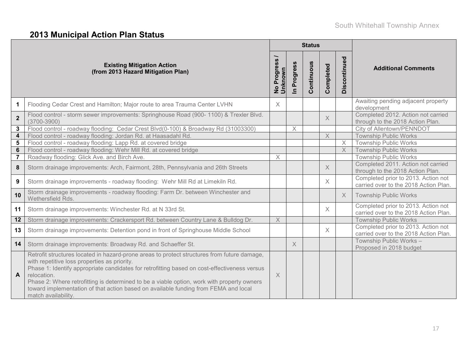# **2013 Municipal Action Plan Status**

|                         |                                                                                                                                                                                                                                                                                                                                                                                                                                                                        |                                       |                      | <b>Status</b> |                |                |                                                                              |
|-------------------------|------------------------------------------------------------------------------------------------------------------------------------------------------------------------------------------------------------------------------------------------------------------------------------------------------------------------------------------------------------------------------------------------------------------------------------------------------------------------|---------------------------------------|----------------------|---------------|----------------|----------------|------------------------------------------------------------------------------|
|                         | <b>Existing Mitigation Action</b><br>(from 2013 Hazard Mitigation Plan)                                                                                                                                                                                                                                                                                                                                                                                                | Progress<br>OWN<br>ğ<br>$\frac{1}{2}$ | Progress<br>$\equiv$ | Continuous    | Completed      | Discontinued   | <b>Additional Comments</b>                                                   |
| $\mathbf 1$             | Flooding Cedar Crest and Hamilton; Major route to area Trauma Center LVHN                                                                                                                                                                                                                                                                                                                                                                                              | $\times$                              |                      |               |                |                | Awaiting pending adjacent property<br>development                            |
| $\overline{2}$          | Flood control - storm sewer improvements: Springhouse Road (900- 1100) & Trexler Blvd.<br>$(3700 - 3900)$                                                                                                                                                                                                                                                                                                                                                              |                                       |                      |               | $\times$       |                | Completed 2012. Action not carried<br>through to the 2018 Action Plan.       |
| 3                       | Flood control - roadway flooding: Cedar Crest Blvd(0-100) & Broadway Rd (31003300)                                                                                                                                                                                                                                                                                                                                                                                     |                                       | $\times$             |               |                |                | City of Allentown/PENNDOT                                                    |
| $\overline{\mathbf{4}}$ | Flood control - roadway flooding: Jordan Rd. at Haasadahl Rd.                                                                                                                                                                                                                                                                                                                                                                                                          |                                       |                      |               | $\overline{X}$ | $\times$       | <b>Township Public Works</b><br><b>Township Public Works</b>                 |
| 5<br>$6\phantom{1}$     | Flood control - roadway flooding: Lapp Rd. at covered bridge<br>Flood control - roadway flooding: Wehr Mill Rd. at covered bridge                                                                                                                                                                                                                                                                                                                                      |                                       |                      |               |                | $\overline{X}$ | <b>Township Public Works</b>                                                 |
| $\overline{7}$          | Roadway flooding: Glick Ave. and Birch Ave.                                                                                                                                                                                                                                                                                                                                                                                                                            | $\times$                              |                      |               |                |                | <b>Township Public Works</b>                                                 |
| 8                       | Storm drainage improvements: Arch, Fairmont, 28th, Pennsylvania and 26th Streets                                                                                                                                                                                                                                                                                                                                                                                       |                                       |                      |               | $\times$       |                | Completed 2011. Action not carried<br>through to the 2018 Action Plan.       |
| 9                       | Storm drainage improvements - roadway flooding: Wehr Mill Rd at Limekiln Rd.                                                                                                                                                                                                                                                                                                                                                                                           |                                       |                      |               | $\times$       |                | Completed prior to 2013. Action not<br>carried over to the 2018 Action Plan. |
| 10                      | Storm drainage improvements - roadway flooding: Farm Dr. between Winchester and<br>Wethersfield Rds.                                                                                                                                                                                                                                                                                                                                                                   |                                       |                      |               |                | $\times$       | <b>Township Public Works</b>                                                 |
| 11                      | Storm drainage improvements: Winchester Rd. at N 33rd St.                                                                                                                                                                                                                                                                                                                                                                                                              |                                       |                      |               | $\times$       |                | Completed prior to 2013. Action not<br>carried over to the 2018 Action Plan. |
| 12                      | Storm drainage improvements: Crackersport Rd. between Country Lane & Bulldog Dr.                                                                                                                                                                                                                                                                                                                                                                                       | $\times$                              |                      |               |                |                | <b>Township Public Works</b>                                                 |
| 13                      | Storm drainage improvements: Detention pond in front of Springhouse Middle School                                                                                                                                                                                                                                                                                                                                                                                      |                                       |                      |               | $\times$       |                | Completed prior to 2013. Action not<br>carried over to the 2018 Action Plan. |
| 14                      | Storm drainage improvements: Broadway Rd. and Schaeffer St.                                                                                                                                                                                                                                                                                                                                                                                                            |                                       | $\times$             |               |                |                | Township Public Works -<br>Proposed in 2018 budget                           |
| A                       | Retrofit structures located in hazard-prone areas to protect structures from future damage,<br>with repetitive loss properties as priority.<br>Phase 1: Identify appropriate candidates for retrofitting based on cost-effectiveness versus<br>relocation.<br>Phase 2: Where retrofitting is determined to be a viable option, work with property owners<br>toward implementation of that action based on available funding from FEMA and local<br>match availability. | $\times$                              |                      |               |                |                |                                                                              |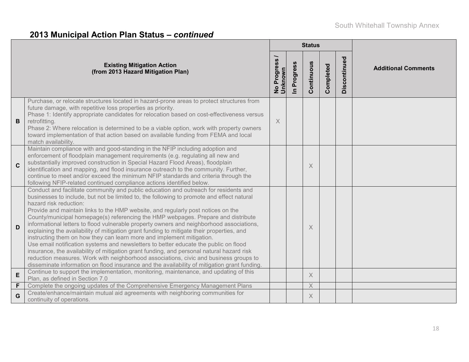# **2013 Municipal Action Plan Status –** *continued*

|              |                                                                                                                                                                                                                                                                                                                                                                                                                                                                                                                                                                                                                                                                                                                                                                                                                                                                                                                                                                                                                                      |                               |                          | <b>Status</b> |           |              |                            |  |  |
|--------------|--------------------------------------------------------------------------------------------------------------------------------------------------------------------------------------------------------------------------------------------------------------------------------------------------------------------------------------------------------------------------------------------------------------------------------------------------------------------------------------------------------------------------------------------------------------------------------------------------------------------------------------------------------------------------------------------------------------------------------------------------------------------------------------------------------------------------------------------------------------------------------------------------------------------------------------------------------------------------------------------------------------------------------------|-------------------------------|--------------------------|---------------|-----------|--------------|----------------------------|--|--|
|              | <b>Existing Mitigation Action</b><br>(from 2013 Hazard Mitigation Plan)                                                                                                                                                                                                                                                                                                                                                                                                                                                                                                                                                                                                                                                                                                                                                                                                                                                                                                                                                              | No Progress<br><b>Unknown</b> | Progress<br>$\mathbf{r}$ | Continuous    | Completed | Discontinued | <b>Additional Comments</b> |  |  |
| B            | Purchase, or relocate structures located in hazard-prone areas to protect structures from<br>future damage, with repetitive loss properties as priority.<br>Phase 1: Identify appropriate candidates for relocation based on cost-effectiveness versus<br>retrofitting.<br>Phase 2: Where relocation is determined to be a viable option, work with property owners<br>toward implementation of that action based on available funding from FEMA and local<br>match availability.                                                                                                                                                                                                                                                                                                                                                                                                                                                                                                                                                    | $\times$                      |                          |               |           |              |                            |  |  |
| $\mathbf{C}$ | Maintain compliance with and good-standing in the NFIP including adoption and<br>enforcement of floodplain management requirements (e.g. regulating all new and<br>substantially improved construction in Special Hazard Flood Areas), floodplain<br>identification and mapping, and flood insurance outreach to the community. Further,<br>continue to meet and/or exceed the minimum NFIP standards and criteria through the<br>following NFIP-related continued compliance actions identified below.                                                                                                                                                                                                                                                                                                                                                                                                                                                                                                                              |                               |                          | X             |           |              |                            |  |  |
| D            | Conduct and facilitate community and public education and outreach for residents and<br>businesses to include, but not be limited to, the following to promote and effect natural<br>hazard risk reduction:<br>Provide and maintain links to the HMP website, and regularly post notices on the<br>County/municipal homepage(s) referencing the HMP webpages. Prepare and distribute<br>informational letters to flood vulnerable property owners and neighborhood associations,<br>explaining the availability of mitigation grant funding to mitigate their properties, and<br>instructing them on how they can learn more and implement mitigation.<br>Use email notification systems and newsletters to better educate the public on flood<br>insurance, the availability of mitigation grant funding, and personal natural hazard risk<br>reduction measures. Work with neighborhood associations, civic and business groups to<br>disseminate information on flood insurance and the availability of mitigation grant funding. |                               |                          | $\times$      |           |              |                            |  |  |
| E            | Continue to support the implementation, monitoring, maintenance, and updating of this<br>Plan, as defined in Section 7.0                                                                                                                                                                                                                                                                                                                                                                                                                                                                                                                                                                                                                                                                                                                                                                                                                                                                                                             |                               |                          | X             |           |              |                            |  |  |
| F            | Complete the ongoing updates of the Comprehensive Emergency Management Plans                                                                                                                                                                                                                                                                                                                                                                                                                                                                                                                                                                                                                                                                                                                                                                                                                                                                                                                                                         |                               |                          | $\times$      |           |              |                            |  |  |
| G            | Create/enhance/maintain mutual aid agreements with neighboring communities for<br>continuity of operations.                                                                                                                                                                                                                                                                                                                                                                                                                                                                                                                                                                                                                                                                                                                                                                                                                                                                                                                          |                               |                          | X             |           |              |                            |  |  |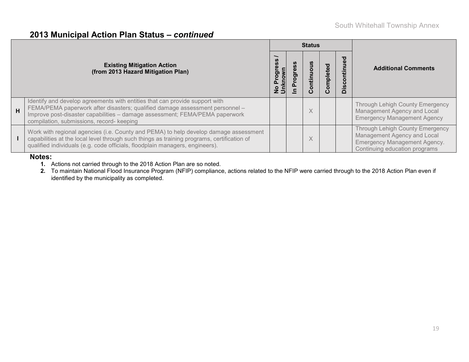#### **2013 Municipal Action Plan Status –** *continued*

|   |                                                                                                                                                                                                                                                                                         |    | <b>Status</b> |              |                       |                                                                                                                                        |  |
|---|-----------------------------------------------------------------------------------------------------------------------------------------------------------------------------------------------------------------------------------------------------------------------------------------|----|---------------|--------------|-----------------------|----------------------------------------------------------------------------------------------------------------------------------------|--|
|   | <b>Existing Mitigation Action</b><br>(from 2013 Hazard Mitigation Plan)                                                                                                                                                                                                                 | ರಾ | O<br>Ē        | mpleted<br>ပ | iscontinued<br>$\Box$ | <b>Additional Comments</b>                                                                                                             |  |
| H | Identify and develop agreements with entities that can provide support with<br>FEMA/PEMA paperwork after disasters; qualified damage assessment personnel -<br>Improve post-disaster capabilities - damage assessment; FEMA/PEMA paperwork<br>compilation, submissions, record- keeping |    | X             |              |                       | <b>Through Lehigh County Emergency</b><br>Management Agency and Local<br><b>Emergency Management Agency</b>                            |  |
|   | Work with regional agencies (i.e. County and PEMA) to help develop damage assessment<br>capabilities at the local level through such things as training programs, certification of<br>qualified individuals (e.g. code officials, floodplain managers, engineers).                      |    | X             |              |                       | Through Lehigh County Emergency<br>Management Agency and Local<br><b>Emergency Management Agency.</b><br>Continuing education programs |  |

#### **Notes:**

- **1.** Actions not carried through to the 2018 Action Plan are so noted.
- **2.** To maintain National Flood Insurance Program (NFIP) compliance, actions related to the NFIP were carried through to the 2018 Action Plan even if identified by the municipality as completed.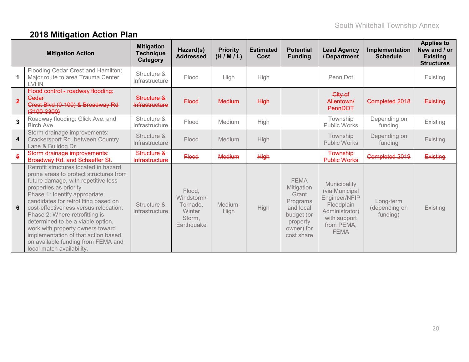# **2018 Mitigation Action Plan**

|                | <b>Mitigation Action</b>                                                                                                                                                                                                                                                                                                                                                                                                                                                                 | <b>Mitigation</b><br><b>Technique</b><br>Category | Hazard(s)<br><b>Addressed</b>                                      | <b>Priority</b><br>(H/M/L) | <b>Estimated</b><br>Cost | <b>Potential</b><br><b>Funding</b>                                                                                | <b>Lead Agency</b><br>/ Department                                                                                           | Implementation<br><b>Schedule</b>      | <b>Applies to</b><br>New and / or<br><b>Existing</b><br><b>Structures</b> |
|----------------|------------------------------------------------------------------------------------------------------------------------------------------------------------------------------------------------------------------------------------------------------------------------------------------------------------------------------------------------------------------------------------------------------------------------------------------------------------------------------------------|---------------------------------------------------|--------------------------------------------------------------------|----------------------------|--------------------------|-------------------------------------------------------------------------------------------------------------------|------------------------------------------------------------------------------------------------------------------------------|----------------------------------------|---------------------------------------------------------------------------|
|                | Flooding Cedar Crest and Hamilton;<br>Major route to area Trauma Center<br><b>LVHN</b>                                                                                                                                                                                                                                                                                                                                                                                                   | Structure &<br>Infrastructure                     | Flood                                                              | High                       | High                     |                                                                                                                   | Penn Dot                                                                                                                     |                                        | Existing                                                                  |
| $\overline{2}$ | Flood control - roadway flooding:<br>Gedar<br>Crest Blvd (0-100) & Broadway Rd<br>$(3100 - 3300)$                                                                                                                                                                                                                                                                                                                                                                                        | Structure &<br>Infrastructure                     | <b>Flood</b>                                                       | <b>Medium</b>              | <b>High</b>              |                                                                                                                   | City of<br>Allentown/<br><b>PennDOT</b>                                                                                      | Completed 2018                         | Existing                                                                  |
| $\mathbf{3}$   | Roadway flooding: Glick Ave. and<br>Birch Ave.                                                                                                                                                                                                                                                                                                                                                                                                                                           | Structure &<br>Infrastructure                     | Flood                                                              | Medium                     | High                     |                                                                                                                   | Township<br><b>Public Works</b>                                                                                              | Depending on<br>funding                | Existing                                                                  |
| 4              | Storm drainage improvements:<br>Crackersport Rd. between Country<br>Lane & Bulldog Dr.                                                                                                                                                                                                                                                                                                                                                                                                   | Structure &<br>Infrastructure                     | Flood                                                              | Medium                     | High                     |                                                                                                                   | Township<br>Public Works                                                                                                     | Depending on<br>funding                | Existing                                                                  |
| 5              | Storm drainage improvements:<br><b>Broadway Rd. and Schaeffer St.</b>                                                                                                                                                                                                                                                                                                                                                                                                                    | Structure &<br>Infrastructure                     | <b>Flood</b>                                                       | <b>Medium</b>              | <b>High</b>              |                                                                                                                   | <b>Township</b><br><b>Public Works</b>                                                                                       | Completed 2019                         | Existing                                                                  |
| 6              | Retrofit structures located in hazard<br>prone areas to protect structures from<br>future damage, with repetitive loss<br>properties as priority.<br>Phase 1: Identify appropriate<br>candidates for retrofitting based on<br>cost-effectiveness versus relocation.<br>Phase 2: Where retrofitting is<br>determined to be a viable option,<br>work with property owners toward<br>implementation of that action based<br>on available funding from FEMA and<br>local match availability. | Structure &<br>Infrastructure                     | Flood,<br>Windstorm/<br>Tornado,<br>Winter<br>Storm,<br>Earthquake | Medium-<br><b>High</b>     | <b>High</b>              | <b>FEMA</b><br>Mitigation<br>Grant<br>Programs<br>and local<br>budget (or<br>property<br>owner) for<br>cost share | Municipality<br>(via Municipal<br>Engineer/NFIP<br>Floodplain<br>Administrator)<br>with support<br>from PEMA,<br><b>FEMA</b> | Long-term<br>(depending on<br>funding) | <b>Existing</b>                                                           |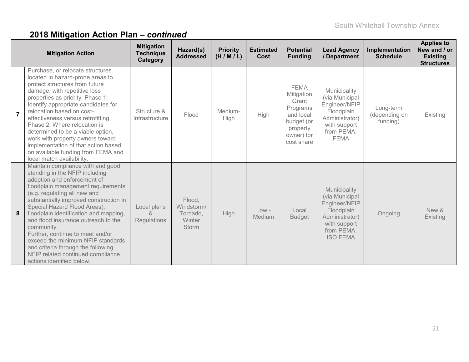|                | <b>Mitigation Action</b>                                                                                                                                                                                                                                                                                                                                                                                                                                                                                                           | <b>Mitigation</b><br><b>Technique</b><br>Category | Hazard(s)<br><b>Addressed</b>                              | <b>Priority</b><br>(H/M/L) | <b>Estimated</b><br>Cost | <b>Potential</b><br><b>Funding</b>                                                                                | <b>Lead Agency</b><br>/ Department                                                                                               | Implementation<br><b>Schedule</b>      | <b>Applies to</b><br>New and / or<br><b>Existing</b><br><b>Structures</b> |
|----------------|------------------------------------------------------------------------------------------------------------------------------------------------------------------------------------------------------------------------------------------------------------------------------------------------------------------------------------------------------------------------------------------------------------------------------------------------------------------------------------------------------------------------------------|---------------------------------------------------|------------------------------------------------------------|----------------------------|--------------------------|-------------------------------------------------------------------------------------------------------------------|----------------------------------------------------------------------------------------------------------------------------------|----------------------------------------|---------------------------------------------------------------------------|
| $\overline{7}$ | Purchase, or relocate structures<br>located in hazard-prone areas to<br>protect structures from future<br>damage, with repetitive loss<br>properties as priority. Phase 1:<br>Identify appropriate candidates for<br>relocation based on cost-<br>effectiveness versus retrofitting.<br>Phase 2: Where relocation is<br>determined to be a viable option,<br>work with property owners toward<br>implementation of that action based<br>on available funding from FEMA and<br>local match availability.                            | Structure &<br>Infrastructure                     | Flood                                                      | Medium-<br>High            | High                     | <b>FEMA</b><br>Mitigation<br>Grant<br>Programs<br>and local<br>budget (or<br>property<br>owner) for<br>cost share | Municipality<br>(via Municipal<br>Engineer/NFIP<br>Floodplain<br>Administrator)<br>with support<br>from PEMA,<br><b>FEMA</b>     | Long-term<br>(depending on<br>funding) | Existing                                                                  |
| 8              | Maintain compliance with and good<br>standing in the NFIP including<br>adoption and enforcement of<br>floodplain management requirements<br>(e.g. regulating all new and<br>substantially improved construction in<br>Special Hazard Flood Areas),<br>floodplain identification and mapping,<br>and flood insurance outreach to the<br>community.<br>Further, continue to meet and/or<br>exceed the minimum NFIP standards<br>and criteria through the following<br>NFIP related continued compliance<br>actions identified below. | Local plans<br>$\alpha$<br>Regulations            | Flood,<br>Windstorm/<br>Tornado,<br>Winter<br><b>Storm</b> | High                       | $Low -$<br>Medium        | Local<br><b>Budget</b>                                                                                            | Municipality<br>(via Municipal<br>Engineer/NFIP<br>Floodplain<br>Administrator)<br>with support<br>from PEMA,<br><b>ISO FEMA</b> | Ongoing                                | New &<br>Existing                                                         |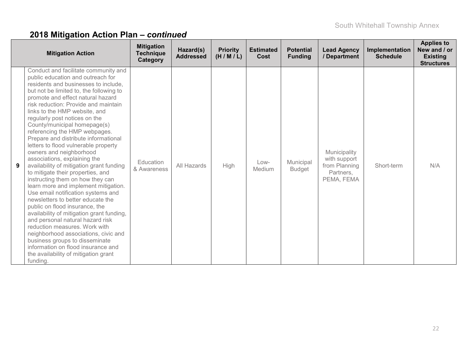|   | <b>Mitigation Action</b>                                                                                                                                                                                                                                                                                                                                                                                                                                                                                                                                                                                                                                                                                                                                                                                                                                                                                                                                                                                                                                                                | <b>Mitigation</b><br><b>Technique</b><br>Category | Hazard(s)<br><b>Addressed</b> | <b>Priority</b><br>(H/M/L) | <b>Estimated</b><br><b>Cost</b> | <b>Potential</b><br><b>Funding</b> | <b>Lead Agency</b><br>/ Department                                       | Implementation<br><b>Schedule</b> | <b>Applies to</b><br>New and / or<br><b>Existing</b><br><b>Structures</b> |
|---|-----------------------------------------------------------------------------------------------------------------------------------------------------------------------------------------------------------------------------------------------------------------------------------------------------------------------------------------------------------------------------------------------------------------------------------------------------------------------------------------------------------------------------------------------------------------------------------------------------------------------------------------------------------------------------------------------------------------------------------------------------------------------------------------------------------------------------------------------------------------------------------------------------------------------------------------------------------------------------------------------------------------------------------------------------------------------------------------|---------------------------------------------------|-------------------------------|----------------------------|---------------------------------|------------------------------------|--------------------------------------------------------------------------|-----------------------------------|---------------------------------------------------------------------------|
| 9 | Conduct and facilitate community and<br>public education and outreach for<br>residents and businesses to include.<br>but not be limited to, the following to<br>promote and effect natural hazard<br>risk reduction: Provide and maintain<br>links to the HMP website, and<br>regularly post notices on the<br>County/municipal homepage(s)<br>referencing the HMP webpages.<br>Prepare and distribute informational<br>letters to flood vulnerable property<br>owners and neighborhood<br>associations, explaining the<br>availability of mitigation grant funding<br>to mitigate their properties, and<br>instructing them on how they can<br>learn more and implement mitigation.<br>Use email notification systems and<br>newsletters to better educate the<br>public on flood insurance, the<br>availability of mitigation grant funding,<br>and personal natural hazard risk<br>reduction measures. Work with<br>neighborhood associations, civic and<br>business groups to disseminate<br>information on flood insurance and<br>the availability of mitigation grant<br>funding. | Education<br>& Awareness                          | All Hazards                   | High                       | $Low-$<br>Medium                | Municipal<br><b>Budget</b>         | Municipality<br>with support<br>from Planning<br>Partners,<br>PEMA, FEMA | Short-term                        | N/A                                                                       |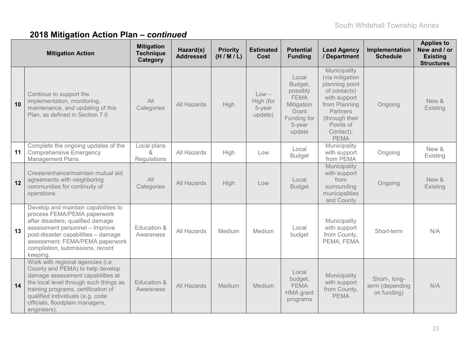| <b>Mitigation Action</b> |                                                                                                                                                                                                                                                                                  | <b>Mitigation</b><br><b>Technique</b><br>Category | Hazard(s)<br><b>Addressed</b> | <b>Priority</b><br>(H/M/L) | <b>Estimated</b><br>Cost                  | <b>Potential</b><br><b>Funding</b>                                                                    | <b>Lead Agency</b><br>/ Department                                                                                                                                        | Implementation<br><b>Schedule</b>               | <b>Applies to</b><br>New and / or<br><b>Existing</b><br><b>Structures</b> |
|--------------------------|----------------------------------------------------------------------------------------------------------------------------------------------------------------------------------------------------------------------------------------------------------------------------------|---------------------------------------------------|-------------------------------|----------------------------|-------------------------------------------|-------------------------------------------------------------------------------------------------------|---------------------------------------------------------------------------------------------------------------------------------------------------------------------------|-------------------------------------------------|---------------------------------------------------------------------------|
| 10                       | Continue to support the<br>implementation, monitoring,<br>maintenance, and updating of this<br>Plan, as defined in Section 7.0                                                                                                                                                   | All<br>Categories                                 | All Hazards                   | High                       | $Low -$<br>High (for<br>5-year<br>update) | Local<br>Budget,<br>possibly<br><b>FEMA</b><br>Mitigation<br>Grant<br>Funding for<br>5-year<br>update | Municipality<br>(via mitigation<br>planning point<br>of contacts)<br>with support<br>from Planning<br>Partners<br>(through their<br>Points of<br>Contact),<br><b>PEMA</b> | Ongoing                                         | New &<br>Existing                                                         |
| 11                       | Complete the ongoing updates of the<br><b>Comprehensive Emergency</b><br><b>Management Plans</b>                                                                                                                                                                                 | Local plans<br>$\lambda$<br>Regulations           | All Hazards                   | High                       | Low                                       | Local<br><b>Budget</b>                                                                                | Municipality<br>with support<br>from PEMA                                                                                                                                 | Ongoing                                         | New &<br>Existing                                                         |
| 12                       | Create/enhance/maintain mutual aid<br>agreements with neighboring<br>communities for continuity of<br>operations.                                                                                                                                                                | All<br>Categories                                 | All Hazards                   | High                       | Low                                       | Local<br><b>Budget</b>                                                                                | Municipality<br>with support<br>from<br>surrounding<br>municipalities<br>and County                                                                                       | Ongoing                                         | New &<br>Existing                                                         |
| 13                       | Develop and maintain capabilities to<br>process FEMA/PEMA paperwork<br>after disasters; qualified damage<br>assessment personnel - Improve<br>post-disaster capabilities - damage<br>assessment; FEMA/PEMA paperwork<br>compilation, submissions, record<br>keeping.             | Education &<br>Awareness                          | All Hazards                   | Medium                     | Medium                                    | Local<br>budget                                                                                       | Municipality<br>with support<br>from County,<br>PEMA, FEMA                                                                                                                | Short-term                                      | N/A                                                                       |
| 14                       | Work with regional agencies (i.e.<br>County and PEMA) to help develop<br>damage assessment capabilities at<br>the local level through such things as<br>training programs, certification of<br>qualified individuals (e.g. code<br>officials, floodplain managers,<br>engineers) | Education &<br>Awareness                          | All Hazards                   | Medium                     | Medium                                    | Local<br>budget,<br><b>FEMA</b><br>HMA grant<br>programs                                              | Municipality<br>with support<br>from County,<br><b>PEMA</b>                                                                                                               | Short-, long-<br>term (depending<br>on funding) | N/A                                                                       |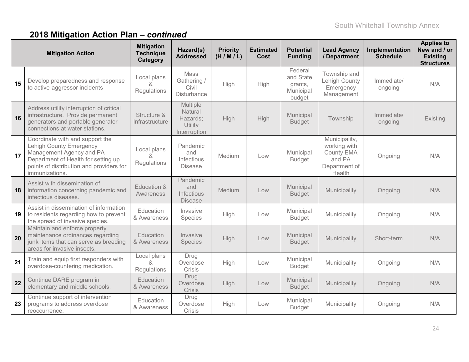|    | <b>Mitigation Action</b>                                                                                                                                                                           | <b>Mitigation</b><br><b>Technique</b><br>Category | Hazard(s)<br><b>Addressed</b>                                     | <b>Priority</b><br>(H/M/L) | <b>Estimated</b><br>Cost | <b>Potential</b><br><b>Funding</b>                     | <b>Lead Agency</b><br>/ Department                                               | Implementation<br><b>Schedule</b> | <b>Applies to</b><br>New and / or<br><b>Existing</b><br><b>Structures</b> |
|----|----------------------------------------------------------------------------------------------------------------------------------------------------------------------------------------------------|---------------------------------------------------|-------------------------------------------------------------------|----------------------------|--------------------------|--------------------------------------------------------|----------------------------------------------------------------------------------|-----------------------------------|---------------------------------------------------------------------------|
| 15 | Develop preparedness and response<br>to active-aggressor incidents                                                                                                                                 | Local plans<br>&<br>Regulations                   | Mass<br>Gathering /<br>Civil<br><b>Disturbance</b>                | High                       | High                     | Federal<br>and State<br>grants,<br>Municipal<br>budget | Township and<br>Lehigh County<br>Emergency<br>Management                         | Immediate/<br>ongoing             | N/A                                                                       |
| 16 | Address utility interruption of critical<br>infrastructure. Provide permanent<br>generators and portable generator<br>connections at water stations.                                               | Structure &<br>Infrastructure                     | <b>Multiple</b><br>Natural<br>Hazards;<br>Utility<br>Interruption | High                       | High                     | Municipal<br><b>Budget</b>                             | Township                                                                         | Immediate/<br>ongoing             | Existing                                                                  |
| 17 | Coordinate with and support the<br><b>Lehigh County Emergency</b><br>Management Agency and PA<br>Department of Health for setting up<br>points of distribution and providers for<br>immunizations. | Local plans<br>&<br>Regulations                   | Pandemic<br>and<br>Infectious<br><b>Disease</b>                   | Medium                     | Low                      | Municipal<br><b>Budget</b>                             | Municipality,<br>working with<br>County EMA<br>and PA<br>Department of<br>Health | Ongoing                           | N/A                                                                       |
| 18 | Assist with dissemination of<br>information concerning pandemic and<br>infectious diseases.                                                                                                        | Education &<br>Awareness                          | Pandemic<br>and<br>Infectious<br><b>Disease</b>                   | Medium                     | Low                      | Municipal<br><b>Budget</b>                             | Municipality                                                                     | Ongoing                           | N/A                                                                       |
| 19 | Assist in dissemination of information<br>to residents regarding how to prevent<br>the spread of invasive species.                                                                                 | Education<br>& Awareness                          | Invasive<br>Species                                               | High                       | Low                      | Municipal<br><b>Budget</b>                             | Municipality                                                                     | Ongoing                           | N/A                                                                       |
| 20 | Maintain and enforce property<br>maintenance ordinances regarding<br>junk items that can serve as breeding<br>areas for invasive insects.                                                          | Education<br>& Awareness                          | Invasive<br>Species                                               | High                       | Low                      | Municipal<br><b>Budget</b>                             | Municipality                                                                     | Short-term                        | N/A                                                                       |
| 21 | Train and equip first responders with<br>overdose-countering medication.                                                                                                                           | Local plans<br>&<br>Regulations                   | Drug<br>Overdose<br>Crisis                                        | High                       | Low                      | Municipal<br><b>Budget</b>                             | Municipality                                                                     | Ongoing                           | N/A                                                                       |
| 22 | Continue DARE program in<br>elementary and middle schools.                                                                                                                                         | Education<br>& Awareness                          | Drug<br>Overdose<br><b>Crisis</b>                                 | High                       | Low                      | Municipal<br><b>Budget</b>                             | Municipality                                                                     | Ongoing                           | N/A                                                                       |
| 23 | Continue support of intervention<br>programs to address overdose<br>reoccurrence.                                                                                                                  | Education<br>& Awareness                          | Drug<br>Overdose<br>Crisis                                        | High                       | Low                      | Municipal<br><b>Budget</b>                             | Municipality                                                                     | Ongoing                           | N/A                                                                       |